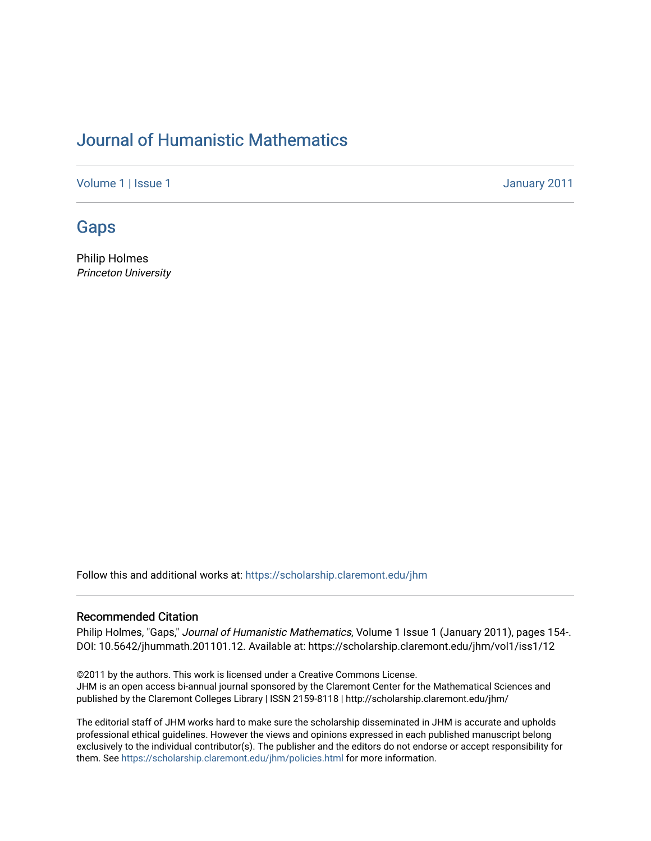# [Journal of Humanistic Mathematics](https://scholarship.claremont.edu/jhm)

[Volume 1](https://scholarship.claremont.edu/jhm/vol1) | [Issue 1](https://scholarship.claremont.edu/jhm/vol1/iss1) January 2011

# [Gaps](https://scholarship.claremont.edu/jhm/vol1/iss1/12)

Philip Holmes Princeton University

Follow this and additional works at: [https://scholarship.claremont.edu/jhm](https://scholarship.claremont.edu/jhm?utm_source=scholarship.claremont.edu%2Fjhm%2Fvol1%2Fiss1%2F12&utm_medium=PDF&utm_campaign=PDFCoverPages)

#### Recommended Citation

Philip Holmes, "Gaps," Journal of Humanistic Mathematics, Volume 1 Issue 1 (January 2011), pages 154-. DOI: 10.5642/jhummath.201101.12. Available at: https://scholarship.claremont.edu/jhm/vol1/iss1/12

©2011 by the authors. This work is licensed under a Creative Commons License. JHM is an open access bi-annual journal sponsored by the Claremont Center for the Mathematical Sciences and published by the Claremont Colleges Library | ISSN 2159-8118 | http://scholarship.claremont.edu/jhm/

The editorial staff of JHM works hard to make sure the scholarship disseminated in JHM is accurate and upholds professional ethical guidelines. However the views and opinions expressed in each published manuscript belong exclusively to the individual contributor(s). The publisher and the editors do not endorse or accept responsibility for them. See<https://scholarship.claremont.edu/jhm/policies.html> for more information.